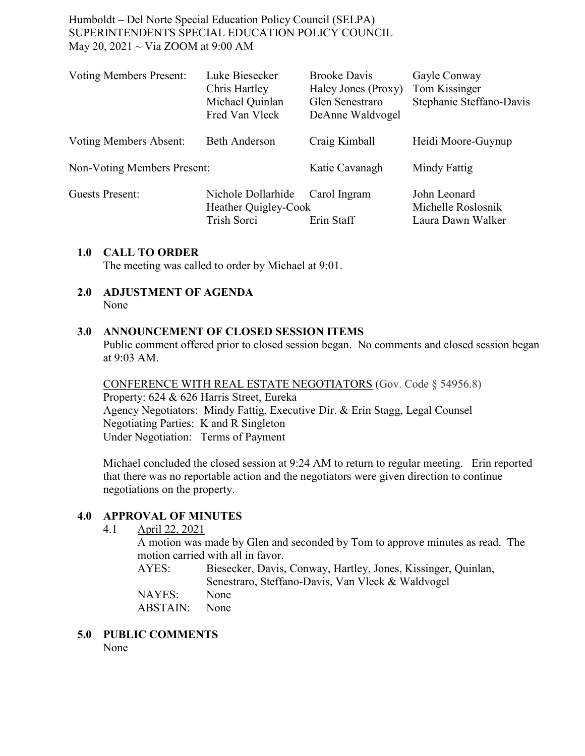| <b>Voting Members Present:</b>     | Luke Biesecker<br>Chris Hartley<br>Michael Quinlan<br>Fred Van Vleck | <b>Brooke Davis</b><br>Haley Jones (Proxy)<br>Glen Senestraro<br>DeAnne Waldvogel | Gayle Conway<br>Tom Kissinger<br>Stephanie Steffano-Davis |
|------------------------------------|----------------------------------------------------------------------|-----------------------------------------------------------------------------------|-----------------------------------------------------------|
| Voting Members Absent:             | <b>Beth Anderson</b>                                                 | Craig Kimball                                                                     | Heidi Moore-Guynup                                        |
| <b>Non-Voting Members Present:</b> |                                                                      | Katie Cavanagh                                                                    | Mindy Fattig                                              |
| Guests Present:                    | Nichole Dollarhide<br>Heather Quigley-Cook<br>Trish Sorci            | Carol Ingram<br>Erin Staff                                                        | John Leonard<br>Michelle Roslosnik<br>Laura Dawn Walker   |

### **1.0 CALL TO ORDER**

The meeting was called to order by Michael at 9:01.

**2.0 ADJUSTMENT OF AGENDA** None

### **3.0 ANNOUNCEMENT OF CLOSED SESSION ITEMS**

Public comment offered prior to closed session began. No comments and closed session began at 9:03 AM.

CONFERENCE WITH REAL ESTATE NEGOTIATORS (Gov. Code § 54956.8) Property: 624 & 626 Harris Street, Eureka Agency Negotiators: Mindy Fattig, Executive Dir. & Erin Stagg, Legal Counsel Negotiating Parties: K and R Singleton Under Negotiation: Terms of Payment

Michael concluded the closed session at 9:24 AM to return to regular meeting. Erin reported that there was no reportable action and the negotiators were given direction to continue negotiations on the property.

## **4.0 APPROVAL OF MINUTES**

4.1 April 22, 2021

A motion was made by Glen and seconded by Tom to approve minutes as read. The motion carried with all in favor.

AYES: Biesecker, Davis, Conway, Hartley, Jones, Kissinger, Quinlan, Senestraro, Steffano-Davis, Van Vleck & Waldvogel

NAYES: None ABSTAIN: None

**5.0 PUBLIC COMMENTS** None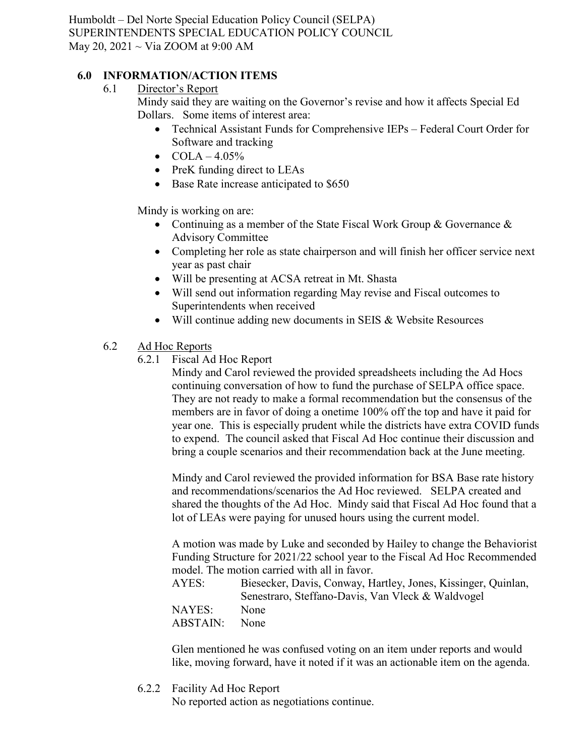# **6.0 INFORMATION/ACTION ITEMS**

6.1 Director's Report

Mindy said they are waiting on the Governor's revise and how it affects Special Ed Dollars. Some items of interest area:

- Technical Assistant Funds for Comprehensive IEPs Federal Court Order for Software and tracking
- $COLA 4.05%$
- PreK funding direct to LEAs
- Base Rate increase anticipated to \$650

Mindy is working on are:

- Continuing as a member of the State Fiscal Work Group & Governance & Advisory Committee
- Completing her role as state chairperson and will finish her officer service next year as past chair
- Will be presenting at ACSA retreat in Mt. Shasta
- Will send out information regarding May revise and Fiscal outcomes to Superintendents when received
- Will continue adding new documents in SEIS & Website Resources
- 6.2 Ad Hoc Reports
	- 6.2.1 Fiscal Ad Hoc Report

Mindy and Carol reviewed the provided spreadsheets including the Ad Hocs continuing conversation of how to fund the purchase of SELPA office space. They are not ready to make a formal recommendation but the consensus of the members are in favor of doing a onetime 100% off the top and have it paid for year one. This is especially prudent while the districts have extra COVID funds to expend. The council asked that Fiscal Ad Hoc continue their discussion and bring a couple scenarios and their recommendation back at the June meeting.

Mindy and Carol reviewed the provided information for BSA Base rate history and recommendations/scenarios the Ad Hoc reviewed. SELPA created and shared the thoughts of the Ad Hoc. Mindy said that Fiscal Ad Hoc found that a lot of LEAs were paying for unused hours using the current model.

A motion was made by Luke and seconded by Hailey to change the Behaviorist Funding Structure for 2021/22 school year to the Fiscal Ad Hoc Recommended model. The motion carried with all in favor.

AYES: Biesecker, Davis, Conway, Hartley, Jones, Kissinger, Quinlan, Senestraro, Steffano-Davis, Van Vleck & Waldvogel NAYES: None ABSTAIN: None

Glen mentioned he was confused voting on an item under reports and would like, moving forward, have it noted if it was an actionable item on the agenda.

6.2.2 Facility Ad Hoc Report

No reported action as negotiations continue.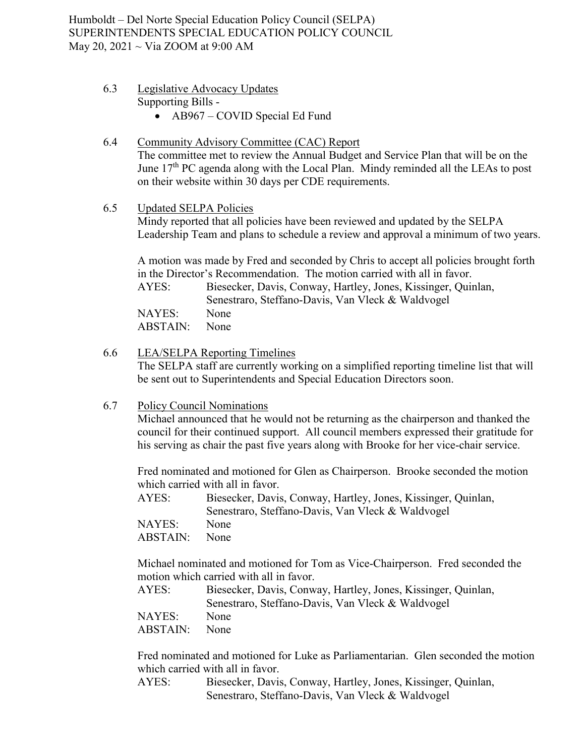### 6.3 Legislative Advocacy Updates Supporting Bills -

• AB967 – COVID Special Ed Fund

## 6.4 Community Advisory Committee (CAC) Report The committee met to review the Annual Budget and Service Plan that will be on the June  $17<sup>th</sup>$  PC agenda along with the Local Plan. Mindy reminded all the LEAs to post on their website within 30 days per CDE requirements.

#### 6.5 Updated SELPA Policies

Mindy reported that all policies have been reviewed and updated by the SELPA Leadership Team and plans to schedule a review and approval a minimum of two years.

A motion was made by Fred and seconded by Chris to accept all policies brought forth in the Director's Recommendation. The motion carried with all in favor. AYES: Biesecker, Davis, Conway, Hartley, Jones, Kissinger, Quinlan, Senestraro, Steffano-Davis, Van Vleck & Waldvogel NAYES: None ABSTAIN: None

### 6.6 LEA/SELPA Reporting Timelines

The SELPA staff are currently working on a simplified reporting timeline list that will be sent out to Superintendents and Special Education Directors soon.

### 6.7 Policy Council Nominations

Michael announced that he would not be returning as the chairperson and thanked the council for their continued support. All council members expressed their gratitude for his serving as chair the past five years along with Brooke for her vice-chair service.

Fred nominated and motioned for Glen as Chairperson. Brooke seconded the motion which carried with all in favor.

| Biesecker, Davis, Conway, Hartley, Jones, Kissinger, Quinlan, |
|---------------------------------------------------------------|
| Senestraro, Steffano-Davis, Van Vleck & Waldvogel             |
| <b>None</b>                                                   |
| None                                                          |
|                                                               |

Michael nominated and motioned for Tom as Vice-Chairperson. Fred seconded the motion which carried with all in favor.

| AYES:    | Biesecker, Davis, Conway, Hartley, Jones, Kissinger, Quinlan, |
|----------|---------------------------------------------------------------|
|          | Senestraro, Steffano-Davis, Van Vleck & Waldvogel             |
| NAYES:   | None                                                          |
| ABSTAIN: | None                                                          |

Fred nominated and motioned for Luke as Parliamentarian. Glen seconded the motion which carried with all in favor.

AYES: Biesecker, Davis, Conway, Hartley, Jones, Kissinger, Quinlan, Senestraro, Steffano-Davis, Van Vleck & Waldvogel